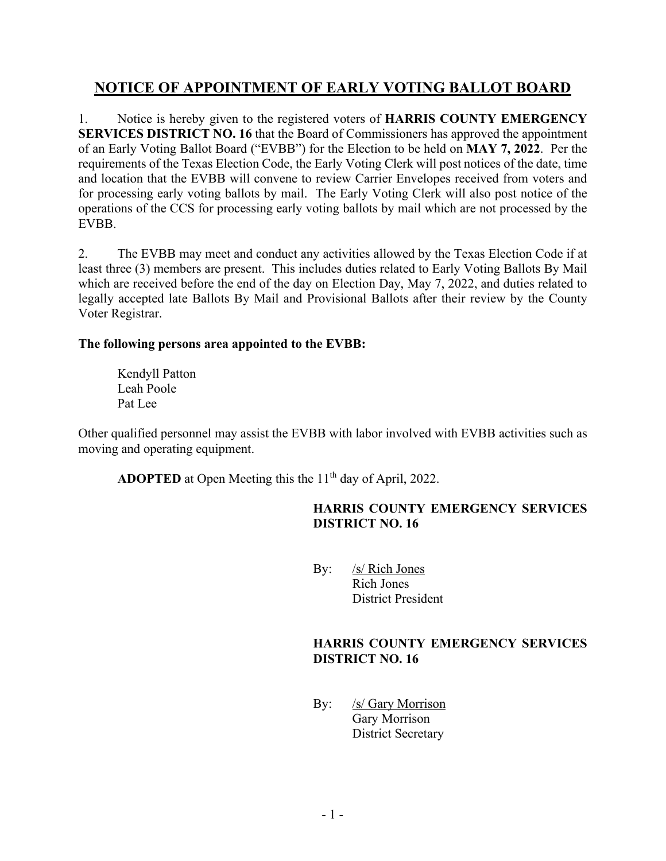# **NOTICE OF APPOINTMENT OF EARLY VOTING BALLOT BOARD**

1. Notice is hereby given to the registered voters of **HARRIS COUNTY EMERGENCY SERVICES DISTRICT NO. 16** that the Board of Commissioners has approved the appointment of an Early Voting Ballot Board ("EVBB") for the Election to be held on **MAY 7, 2022**. Per the requirements of the Texas Election Code, the Early Voting Clerk will post notices of the date, time and location that the EVBB will convene to review Carrier Envelopes received from voters and for processing early voting ballots by mail. The Early Voting Clerk will also post notice of the operations of the CCS for processing early voting ballots by mail which are not processed by the EVBB.

2. The EVBB may meet and conduct any activities allowed by the Texas Election Code if at least three (3) members are present. This includes duties related to Early Voting Ballots By Mail which are received before the end of the day on Election Day, May 7, 2022, and duties related to legally accepted late Ballots By Mail and Provisional Ballots after their review by the County Voter Registrar.

## **The following persons area appointed to the EVBB:**

Kendyll Patton Leah Poole Pat Lee

Other qualified personnel may assist the EVBB with labor involved with EVBB activities such as moving and operating equipment.

**ADOPTED** at Open Meeting this the 11<sup>th</sup> day of April, 2022.

# **HARRIS COUNTY EMERGENCY SERVICES DISTRICT NO. 16**

By: /s/ Rich Jones Rich Jones District President

#### **HARRIS COUNTY EMERGENCY SERVICES DISTRICT NO. 16**

By: /s/ Gary Morrison Gary Morrison District Secretary